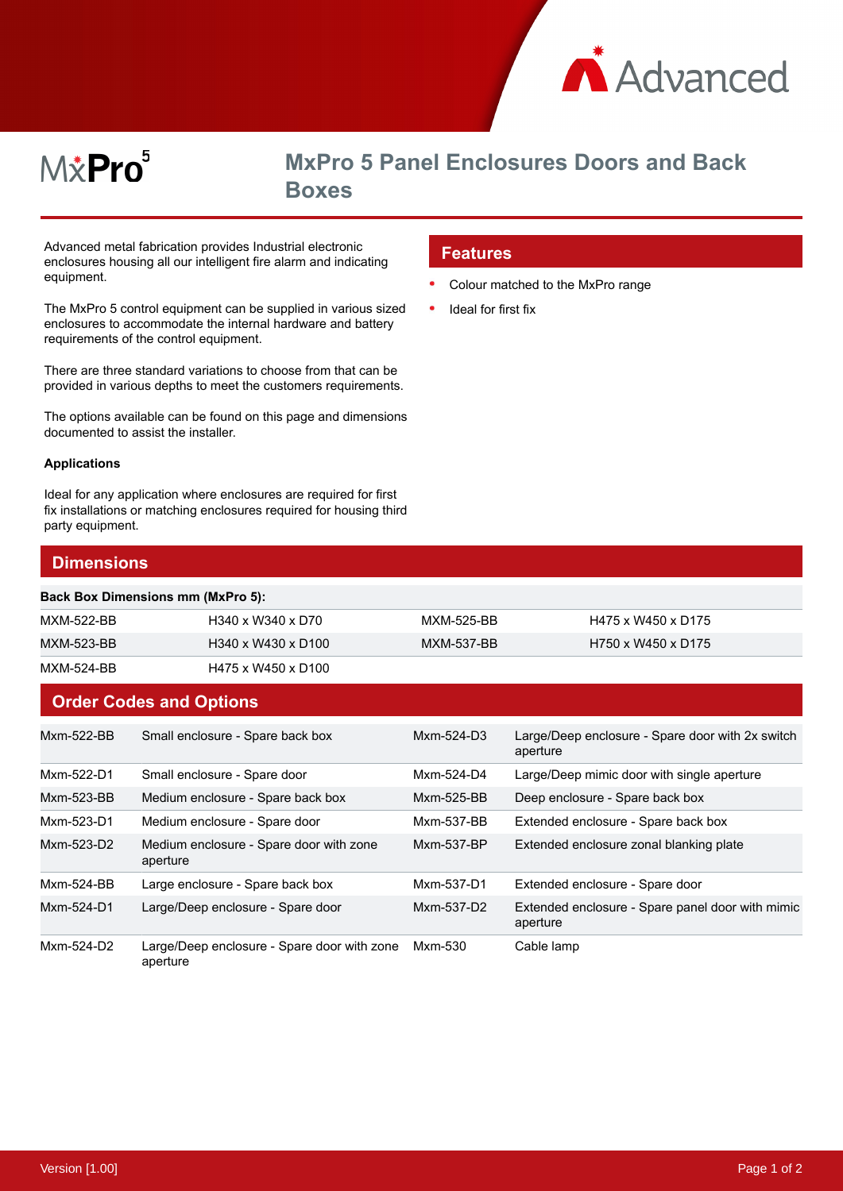

# M&Pro<sup>5</sup>

## **MxPro 5 Panel Enclosures Doors and Back Boxes**

Colour matched to the MxPro range

**Features**

 $\bullet$ 

Ideal for first fix

Advanced metal fabrication provides Industrial electronic enclosures housing all our intelligent fire alarm and indicating equipment.

The MxPro 5 control equipment can be supplied in various sized enclosures to accommodate the internal hardware and battery requirements of the control equipment.

There are three standard variations to choose from that can be provided in various depths to meet the customers requirements.

The options available can be found on this page and dimensions documented to assist the installer.

#### **Applications**

Ideal for any application where enclosures are required for first fix installations or matching enclosures required for housing third party equipment.

#### **Dimensions**

#### **Back Box Dimensions mm (MxPro 5):**

| MXM-522-BB | H340 x W340 x D70  | MXM-525-BB | H475 x W450 x D175 |
|------------|--------------------|------------|--------------------|
| MXM-523-BB | H340 x W430 x D100 | MXM-537-BB | H750 x W450 x D175 |
| MXM-524-BB | H475 x W450 x D100 |            |                    |

#### **Order Codes and Options**

| Mxm-522-BB | Small enclosure - Spare back box                        | $Mxm-524-D3$ | Large/Deep enclosure - Spare door with 2x switch<br>aperture |
|------------|---------------------------------------------------------|--------------|--------------------------------------------------------------|
| Mxm-522-D1 | Small enclosure - Spare door                            | Mxm-524-D4   | Large/Deep mimic door with single aperture                   |
| Mxm-523-BB | Medium enclosure - Spare back box                       | Mxm-525-BB   | Deep enclosure - Spare back box                              |
| Mxm-523-D1 | Medium enclosure - Spare door                           | Mxm-537-BB   | Extended enclosure - Spare back box                          |
| Mxm-523-D2 | Medium enclosure - Spare door with zone<br>aperture     | Mxm-537-BP   | Extended enclosure zonal blanking plate                      |
| Mxm-524-BB | Large enclosure - Spare back box                        | Mxm-537-D1   | Extended enclosure - Spare door                              |
| Mxm-524-D1 | Large/Deep enclosure - Spare door                       | Mxm-537-D2   | Extended enclosure - Spare panel door with mimic<br>aperture |
| Mxm-524-D2 | Large/Deep enclosure - Spare door with zone<br>aperture | Mxm-530      | Cable lamp                                                   |